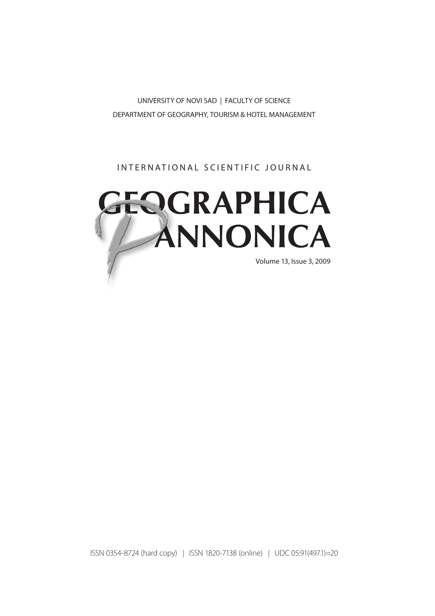UNIVERSITY OF NOVI SAD | FACULTY OF SCIENCE DEPARTMENT OF GEOGRAPHY, TOURISM & HOTEL MANAGEMENT

### INTERNATIONAL SCIENTIFIC JOURNAL



ISSN 0354-8724 (hard copy) | ISSN 1820-7138 (online) | UDC 05:91(497.1)=20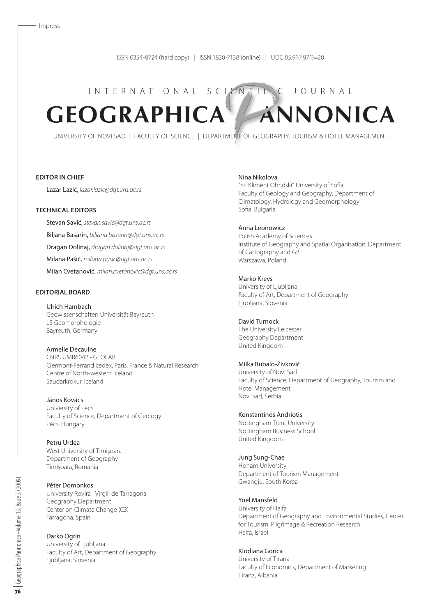# I N T E R N A T I O N A L S C LENTIFIC J O U R N A L **GEOGRAPHICA ANNONICA**

UNIVERSITY OF NOVI SAD | FACULTY OF SCIENCE | DEPARTMENT OF GEOGRAPHY, TOURISM & HOTEL MANAGEMENT

#### **EDITOR IN CHIEF**

Lazar Lazić, *lazar.lazic@dgt.uns.ac.rs*

#### **TECHNICAL EDITORS**

Stevan Savić, *stevan.savic@dgt.uns.ac.rs* Biljana Basarin, *biljana.basarin@dgt.uns.ac.rs* Dragan Dolinaj, *dragan.dolinaj@dgt.uns.ac.rs* Milana Pašić, *milana.pasic@dgt.uns.ac.rs* Milan Cvetanović, *milan.cvetanovic@dgt.uns.ac.rs*

#### **EDITORIAL BOARD**

Ulrich Hambach Geowissenschaften Universität Bayreuth LS Geomorphologie Bayreuth, Germany

#### Armelle Decaulne CNRS UMR6042 - GEOLAB

Clermont-Ferrand cedex, Paris, France & Natural Research Centre of North-western Iceland Saudarkrokur, Iceland

János Kovács University of Pécs Faculty of Science, Department of Geology Pécs, Hungary

Petru Urdea West University of Timişoara Department of Geography Timişoara, Romania

Péter Domonkos University Rovira i Virgili de Tarragona Geography Department Center on Climate Change (C3) Tarragona, Spain

Darko Ogrin University of Ljubljana Faculty of Art, Department of Geography Ljubljana, Slovenia

Nina Nikolova

"St. Kliment Ohridski" University of Sofia Faculty of Geology and Geography, Department of Climatology, Hydrology and Geomorphology Sofia, Bulgaria

#### Anna Leonowicz

Polish Academy of Sciences Institute of Geography and Spatial Organisation, Department of Cartography and GIS Warszawa, Poland

Marko Krevs University of Ljubljana, Faculty of Art, Department of Geography Ljubljana, Slovenia

David Turnock The University Leicester Geography Department United Kingdom

#### Milka Bubalo-Živković

University of Novi Sad Faculty of Science, Department of Geography, Tourism and Hotel Management Novi Sad, Serbia

Konstantinos Andriotis

Nottingham Trent University Nottingham Business School United Kingdom

Jung Sung-Chae Honam University Department of Tourism Management Gwangju, South Korea

Yoel Mansfeld University of Haifa Department of Geography and Environmental Studies, Center for Tourism, Pilgrimage & Recreation Research Haifa, Israel

Klodiana Gorica University of Tirana Faculty of Economics, Department of Marketing Tirana, Albania